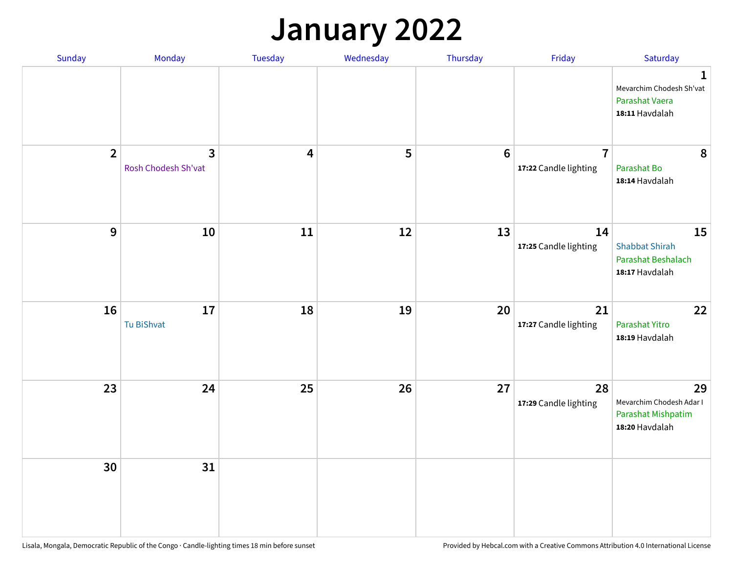## **January 2022**

| Sunday         | Monday                              | Tuesday | Wednesday | Thursday        | Friday                                  | Saturday                                                                     |
|----------------|-------------------------------------|---------|-----------|-----------------|-----------------------------------------|------------------------------------------------------------------------------|
|                |                                     |         |           |                 |                                         | $\mathbf{1}$<br>Mevarchim Chodesh Sh'vat<br>Parashat Vaera<br>18:11 Havdalah |
| $\overline{2}$ | $\mathbf{3}$<br>Rosh Chodesh Sh'vat | 4       | 5         | $6\phantom{1}6$ | $\overline{7}$<br>17:22 Candle lighting | 8<br>Parashat Bo<br>18:14 Havdalah                                           |
| $9$            | 10                                  | 11      | 12        | 13              | 14<br>17:25 Candle lighting             | 15<br><b>Shabbat Shirah</b><br>Parashat Beshalach<br>18:17 Havdalah          |
| 16             | 17<br>Tu BiShvat                    | 18      | 19        | 20              | 21<br>17:27 Candle lighting             | 22<br>Parashat Yitro<br>18:19 Havdalah                                       |
| 23             | 24                                  | 25      | 26        | 27              | 28<br>17:29 Candle lighting             | 29<br>Mevarchim Chodesh Adar I<br>Parashat Mishpatim<br>18:20 Havdalah       |
| 30             | 31                                  |         |           |                 |                                         |                                                                              |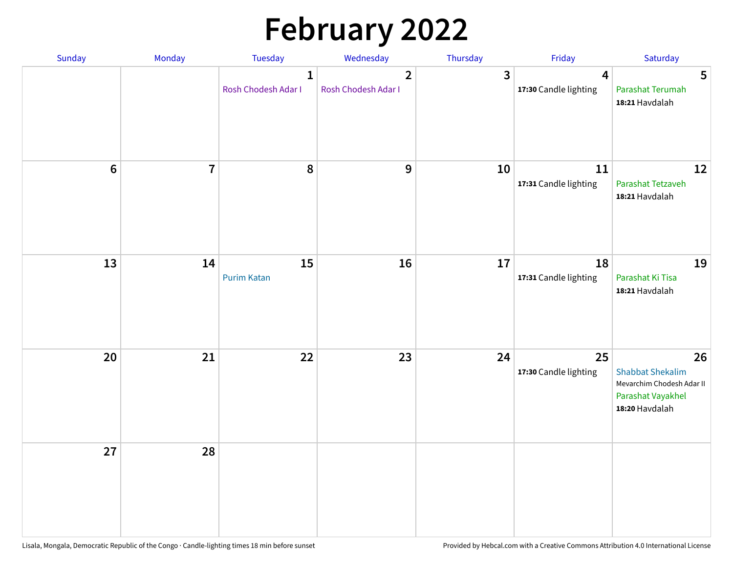# **February 2022**

| Sunday | Monday         | Tuesday                             | Wednesday                             | Thursday | Friday                                           | Saturday                                                                                          |
|--------|----------------|-------------------------------------|---------------------------------------|----------|--------------------------------------------------|---------------------------------------------------------------------------------------------------|
|        |                | $\mathbf{1}$<br>Rosh Chodesh Adar I | $\overline{2}$<br>Rosh Chodesh Adar I | 3        | $\overline{\mathbf{4}}$<br>17:30 Candle lighting | $5\phantom{.0}$<br>Parashat Terumah<br>18:21 Havdalah                                             |
| $6\,$  | $\overline{7}$ | 8                                   | 9                                     | 10       | 11<br>17:31 Candle lighting                      | 12<br>Parashat Tetzaveh<br>18:21 Havdalah                                                         |
| 13     | 14             | 15<br><b>Purim Katan</b>            | 16                                    | 17       | 18<br>17:31 Candle lighting                      | 19<br>Parashat Ki Tisa<br>18:21 Havdalah                                                          |
| 20     | 21             | 22                                  | 23                                    | 24       | 25<br>17:30 Candle lighting                      | 26<br><b>Shabbat Shekalim</b><br>Mevarchim Chodesh Adar II<br>Parashat Vayakhel<br>18:20 Havdalah |
| 27     | 28             |                                     |                                       |          |                                                  |                                                                                                   |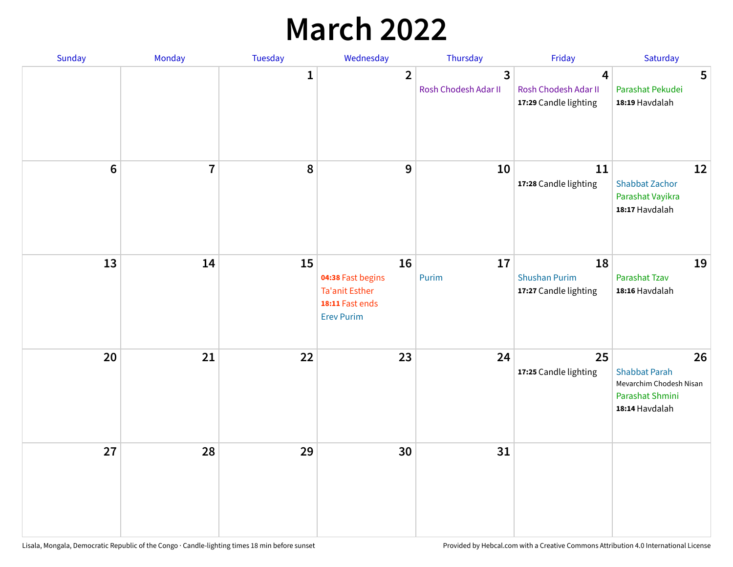## **March 2022**

| Sunday         | Monday         | Tuesday      | Wednesday                                                                                | Thursday                  | Friday                                              | Saturday                                                                                   |
|----------------|----------------|--------------|------------------------------------------------------------------------------------------|---------------------------|-----------------------------------------------------|--------------------------------------------------------------------------------------------|
|                |                | $\mathbf{1}$ | $\overline{2}$                                                                           | 3<br>Rosh Chodesh Adar II | 4<br>Rosh Chodesh Adar II<br>17:29 Candle lighting  | 5<br>Parashat Pekudei<br>18:19 Havdalah                                                    |
| $6\phantom{1}$ | $\overline{7}$ | 8            | $9$                                                                                      | 10                        | 11<br>17:28 Candle lighting                         | 12<br><b>Shabbat Zachor</b><br>Parashat Vayikra<br>18:17 Havdalah                          |
| 13             | 14             | 15           | 16<br>04:38 Fast begins<br><b>Ta'anit Esther</b><br>18:11 Fast ends<br><b>Erev Purim</b> | 17<br>Purim               | 18<br><b>Shushan Purim</b><br>17:27 Candle lighting | 19<br>Parashat Tzav<br>18:16 Havdalah                                                      |
| 20             | 21             | 22           | 23                                                                                       | 24                        | 25<br>17:25 Candle lighting                         | 26<br><b>Shabbat Parah</b><br>Mevarchim Chodesh Nisan<br>Parashat Shmini<br>18:14 Havdalah |
| 27             | 28             | 29           | 30                                                                                       | 31                        |                                                     |                                                                                            |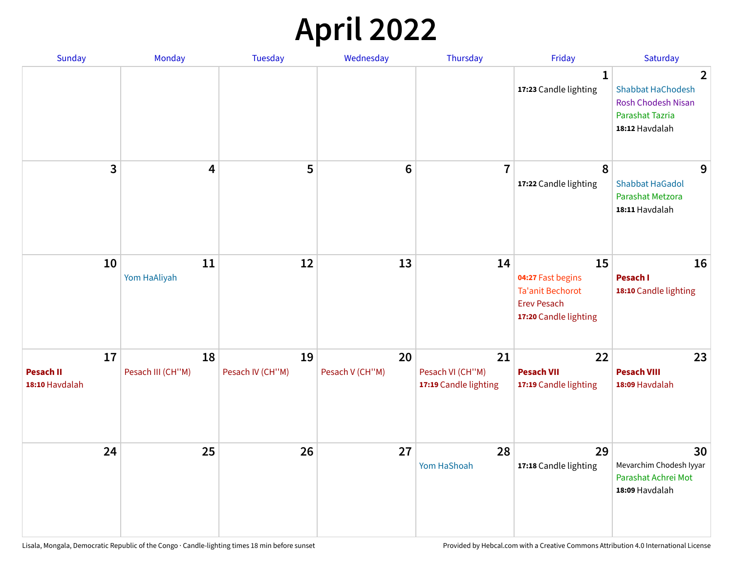## **April 2022**

| <b>Sunday</b>                            | <b>Monday</b>           | <b>Tuesday</b>         | Wednesday             | Thursday                                        | Friday                                                                                            | Saturday                                                                                                     |
|------------------------------------------|-------------------------|------------------------|-----------------------|-------------------------------------------------|---------------------------------------------------------------------------------------------------|--------------------------------------------------------------------------------------------------------------|
|                                          |                         |                        |                       |                                                 | $\mathbf{1}$<br>17:23 Candle lighting                                                             | $\overline{2}$<br>Shabbat HaChodesh<br><b>Rosh Chodesh Nisan</b><br><b>Parashat Tazria</b><br>18:12 Havdalah |
| 3                                        | 4                       | 5                      | $6\phantom{1}6$       | $\overline{7}$                                  | 8<br>17:22 Candle lighting                                                                        | 9<br><b>Shabbat HaGadol</b><br>Parashat Metzora<br>18:11 Havdalah                                            |
| 10                                       | 11<br>Yom HaAliyah      | 12                     | 13                    | 14                                              | 15<br>04:27 Fast begins<br><b>Ta'anit Bechorot</b><br><b>Erev Pesach</b><br>17:20 Candle lighting | 16<br>Pesach I<br>18:10 Candle lighting                                                                      |
| 17<br><b>Pesach II</b><br>18:10 Havdalah | 18<br>Pesach III (CH"M) | 19<br>Pesach IV (CH"M) | 20<br>Pesach V (CH"M) | 21<br>Pesach VI (CH"M)<br>17:19 Candle lighting | 22<br><b>Pesach VII</b><br>17:19 Candle lighting                                                  | 23<br><b>Pesach VIII</b><br>18:09 Havdalah                                                                   |
| 24                                       | 25                      | 26                     | 27                    | 28<br>Yom HaShoah                               | 29<br>17:18 Candle lighting                                                                       | 30<br>Mevarchim Chodesh Iyyar<br>Parashat Achrei Mot<br>18:09 Havdalah                                       |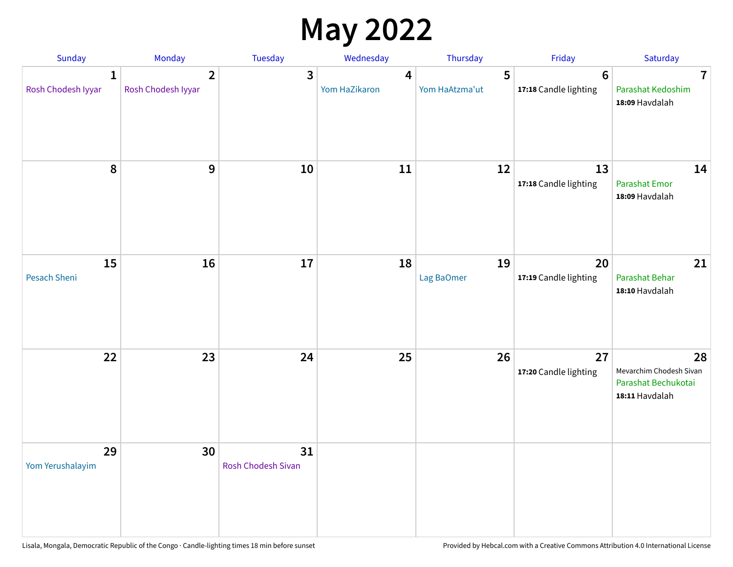## **May 2022**

| Sunday                             | Monday                               | Tuesday                         | Wednesday          | Thursday            | Friday                                  | Saturday                                                               |
|------------------------------------|--------------------------------------|---------------------------------|--------------------|---------------------|-----------------------------------------|------------------------------------------------------------------------|
| $\mathbf{1}$<br>Rosh Chodesh Iyyar | $\overline{2}$<br>Rosh Chodesh Iyyar | 3                               | 4<br>Yom HaZikaron | 5<br>Yom HaAtzma'ut | $6\phantom{1}$<br>17:18 Candle lighting | $\overline{\mathbf{7}}$<br>Parashat Kedoshim<br>18:09 Havdalah         |
| 8                                  | 9                                    | 10                              | 11                 | 12                  | 13<br>17:18 Candle lighting             | 14<br>Parashat Emor<br>18:09 Havdalah                                  |
| 15<br>Pesach Sheni                 | 16                                   | 17                              | 18                 | 19<br>Lag BaOmer    | 20<br>17:19 Candle lighting             | 21<br>Parashat Behar<br>18:10 Havdalah                                 |
| 22                                 | 23                                   | 24                              | 25                 | 26                  | 27<br>17:20 Candle lighting             | 28<br>Mevarchim Chodesh Sivan<br>Parashat Bechukotai<br>18:11 Havdalah |
| 29<br>Yom Yerushalayim             | 30                                   | 31<br><b>Rosh Chodesh Sivan</b> |                    |                     |                                         |                                                                        |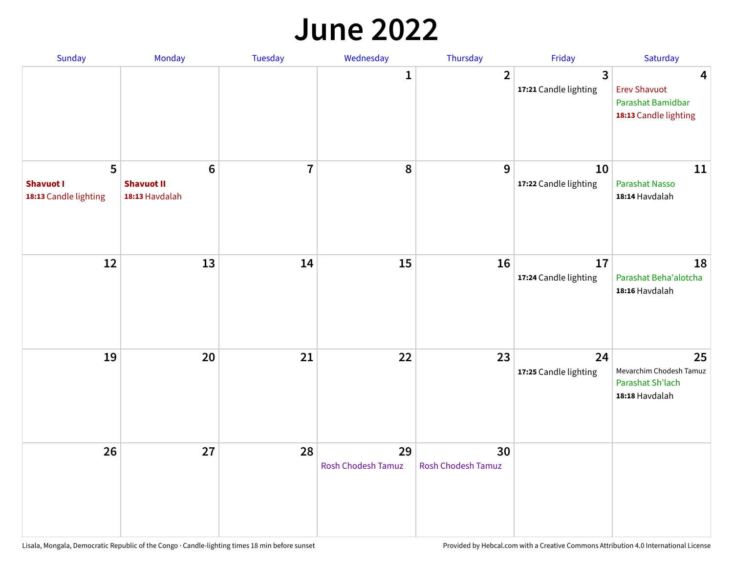#### **June 2022**

| Sunday                                         | Monday                                         | Tuesday        | Wednesday                       | Thursday                        | Friday                      | Saturday                                                               |
|------------------------------------------------|------------------------------------------------|----------------|---------------------------------|---------------------------------|-----------------------------|------------------------------------------------------------------------|
|                                                |                                                |                | 1                               | $\overline{2}$                  | 3<br>17:21 Candle lighting  | 4<br><b>Erev Shavuot</b><br>Parashat Bamidbar<br>18:13 Candle lighting |
| 5<br><b>Shavuot I</b><br>18:13 Candle lighting | $\bf 6$<br><b>Shavuot II</b><br>18:13 Havdalah | $\overline{7}$ | 8                               | 9                               | 10<br>17:22 Candle lighting | 11<br>Parashat Nasso<br>18:14 Havdalah                                 |
| 12                                             | 13                                             | 14             | 15                              | 16                              | 17<br>17:24 Candle lighting | 18<br>Parashat Beha'alotcha<br>18:16 Havdalah                          |
| 19                                             | 20                                             | 21             | 22                              | 23                              | 24<br>17:25 Candle lighting | 25<br>Mevarchim Chodesh Tamuz<br>Parashat Sh'lach<br>18:18 Havdalah    |
| 26                                             | 27                                             | 28             | 29<br><b>Rosh Chodesh Tamuz</b> | 30<br><b>Rosh Chodesh Tamuz</b> |                             |                                                                        |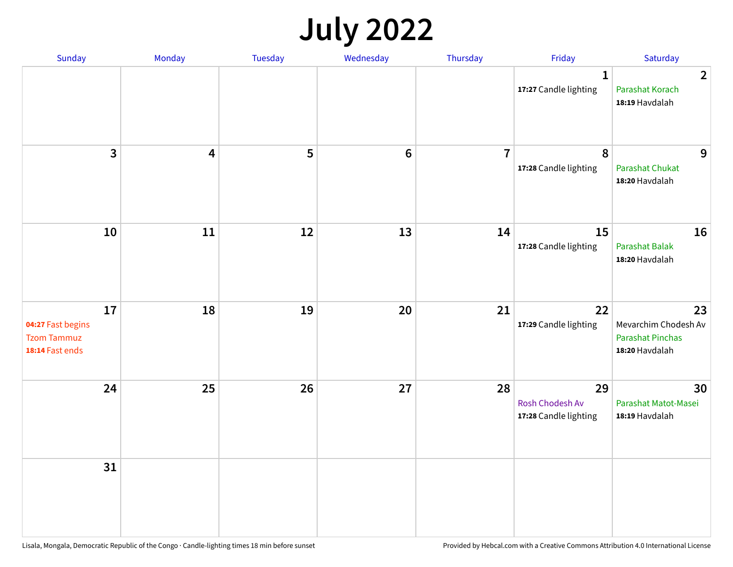## **July 2022**

| Sunday                                                           | Monday | Tuesday | Wednesday      | Thursday       | Friday                                         | Saturday                                                                |
|------------------------------------------------------------------|--------|---------|----------------|----------------|------------------------------------------------|-------------------------------------------------------------------------|
|                                                                  |        |         |                |                | $\mathbf{1}$<br>17:27 Candle lighting          | $\overline{2}$<br>Parashat Korach<br>18:19 Havdalah                     |
| $\overline{3}$                                                   | 4      | 5       | $6\phantom{1}$ | $\overline{7}$ | 8<br>17:28 Candle lighting                     | 9<br><b>Parashat Chukat</b><br>18:20 Havdalah                           |
| 10                                                               | 11     | 12      | 13             | 14             | 15<br>17:28 Candle lighting                    | 16<br>Parashat Balak<br>18:20 Havdalah                                  |
| 17<br>04:27 Fast begins<br><b>Tzom Tammuz</b><br>18:14 Fast ends | 18     | 19      | $20\,$         | 21             | 22<br>17:29 Candle lighting                    | 23<br>Mevarchim Chodesh Av<br><b>Parashat Pinchas</b><br>18:20 Havdalah |
| 24                                                               | 25     | 26      | 27             | 28             | 29<br>Rosh Chodesh Av<br>17:28 Candle lighting | 30<br>Parashat Matot-Masei<br>18:19 Havdalah                            |
| 31                                                               |        |         |                |                |                                                |                                                                         |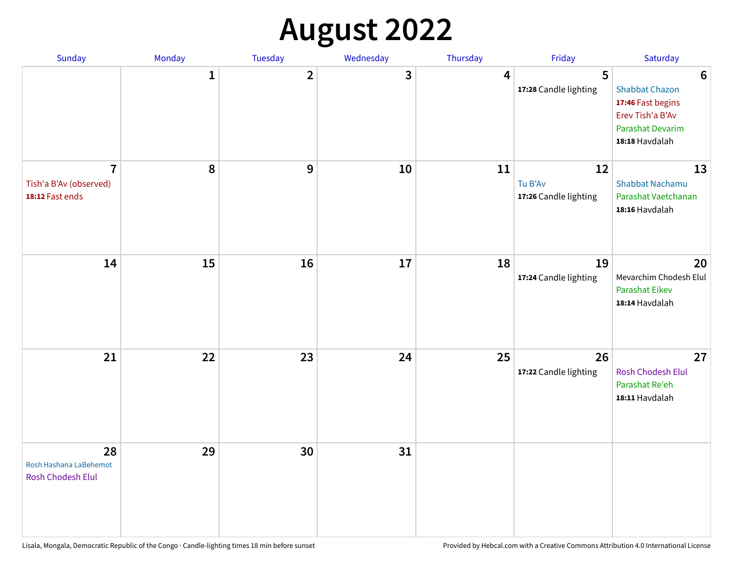# **August 2022**

| Sunday                                                      | Monday       | Tuesday        | Wednesday | Thursday | Friday                                 | Saturday                                                                                                                       |
|-------------------------------------------------------------|--------------|----------------|-----------|----------|----------------------------------------|--------------------------------------------------------------------------------------------------------------------------------|
|                                                             | $\mathbf{1}$ | $\overline{2}$ | 3         | 4        | 5<br>17:28 Candle lighting             | $6\phantom{1}6$<br><b>Shabbat Chazon</b><br>17:46 Fast begins<br>Erev Tish'a B'Av<br><b>Parashat Devarim</b><br>18:18 Havdalah |
| $\overline{7}$<br>Tish'a B'Av (observed)<br>18:12 Fast ends | ${\bf 8}$    | 9              | 10        | 11       | 12<br>Tu B'Av<br>17:26 Candle lighting | 13<br><b>Shabbat Nachamu</b><br>Parashat Vaetchanan<br>18:16 Havdalah                                                          |
| 14                                                          | 15           | 16             | 17        | 18       | 19<br>17:24 Candle lighting            | 20<br>Mevarchim Chodesh Elul<br>Parashat Eikev<br>18:14 Havdalah                                                               |
| 21                                                          | 22           | 23             | 24        | 25       | 26<br>17:22 Candle lighting            | 27<br>Rosh Chodesh Elul<br>Parashat Re'eh<br>18:11 Havdalah                                                                    |
| 28<br>Rosh Hashana LaBehemot<br><b>Rosh Chodesh Elul</b>    | 29           | 30             | 31        |          |                                        |                                                                                                                                |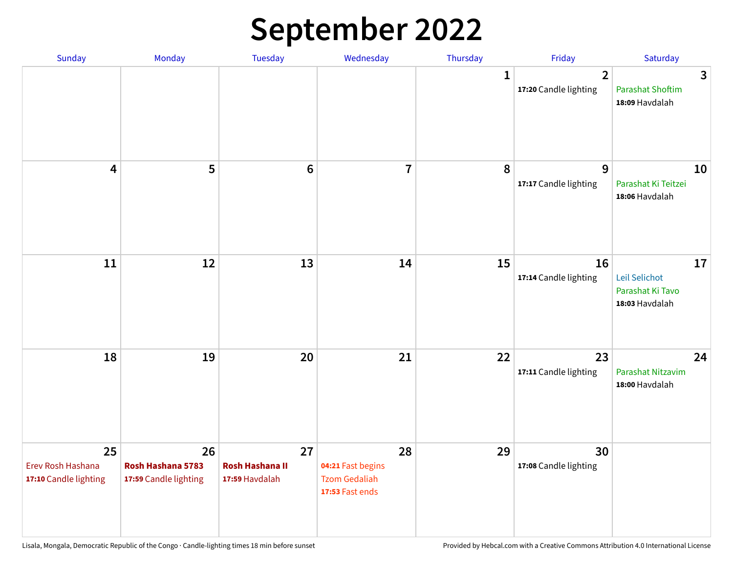## **September 2022**

| Sunday                                           | Monday                                           | Tuesday                                        | Wednesday                                                          | Thursday     | Friday                                  | Saturday                                                  |
|--------------------------------------------------|--------------------------------------------------|------------------------------------------------|--------------------------------------------------------------------|--------------|-----------------------------------------|-----------------------------------------------------------|
|                                                  |                                                  |                                                |                                                                    | $\mathbf{1}$ | $\overline{2}$<br>17:20 Candle lighting | 3<br><b>Parashat Shoftim</b><br>18:09 Havdalah            |
| 4                                                | 5                                                | $\bf 6$                                        | 7                                                                  | 8            | 9<br>17:17 Candle lighting              | 10<br>Parashat Ki Teitzei<br>18:06 Havdalah               |
| 11                                               | 12                                               | 13                                             | 14                                                                 | 15           | 16<br>17:14 Candle lighting             | 17<br>Leil Selichot<br>Parashat Ki Tavo<br>18:03 Havdalah |
| 18                                               | 19                                               | 20                                             | 21                                                                 | 22           | 23<br>17:11 Candle lighting             | 24<br>Parashat Nitzavim<br>18:00 Havdalah                 |
| 25<br>Erev Rosh Hashana<br>17:10 Candle lighting | 26<br>Rosh Hashana 5783<br>17:59 Candle lighting | 27<br><b>Rosh Hashana II</b><br>17:59 Havdalah | 28<br>04:21 Fast begins<br><b>Tzom Gedaliah</b><br>17:53 Fast ends | 29           | 30<br>17:08 Candle lighting             |                                                           |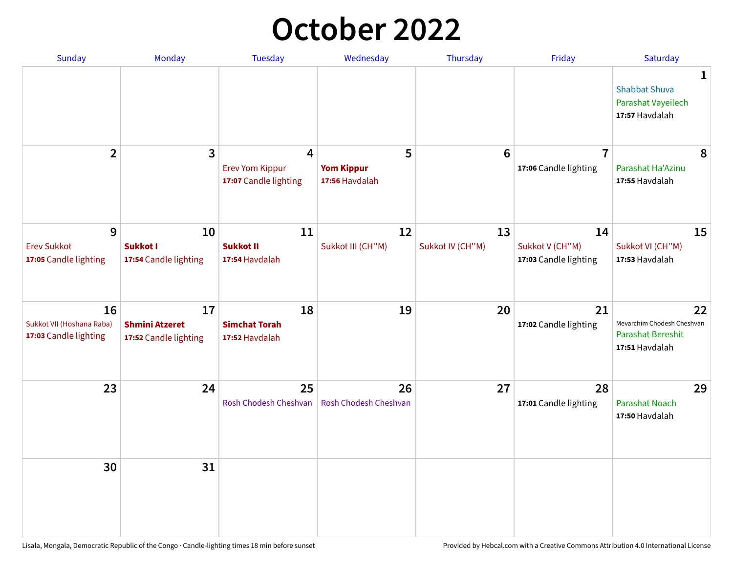## **October 2022**

| <b>Sunday</b>                                            | Monday                                               | <b>Tuesday</b>                                       | Wednesday                                | Thursday               | Friday                                         | Saturday                                                                       |
|----------------------------------------------------------|------------------------------------------------------|------------------------------------------------------|------------------------------------------|------------------------|------------------------------------------------|--------------------------------------------------------------------------------|
|                                                          |                                                      |                                                      |                                          |                        |                                                | 1<br><b>Shabbat Shuva</b><br>Parashat Vayeilech<br>17:57 Havdalah              |
| $\overline{2}$                                           | 3                                                    | 4<br><b>Erev Yom Kippur</b><br>17:07 Candle lighting | 5<br><b>Yom Kippur</b><br>17:56 Havdalah | $6\phantom{1}6$        | $\overline{7}$<br>17:06 Candle lighting        | 8<br>Parashat Ha'Azinu<br>17:55 Havdalah                                       |
| 9<br><b>Erev Sukkot</b><br>17:05 Candle lighting         | 10<br>Sukkot I<br>17:54 Candle lighting              | 11<br><b>Sukkot II</b><br>17:54 Havdalah             | 12<br>Sukkot III (CH"M)                  | 13<br>Sukkot IV (CH"M) | 14<br>Sukkot V (CH"M)<br>17:03 Candle lighting | 15<br>Sukkot VI (CH"M)<br>17:53 Havdalah                                       |
| 16<br>Sukkot VII (Hoshana Raba)<br>17:03 Candle lighting | 17<br><b>Shmini Atzeret</b><br>17:52 Candle lighting | 18<br><b>Simchat Torah</b><br>17:52 Havdalah         | 19                                       | 20                     | 21<br>17:02 Candle lighting                    | 22<br>Mevarchim Chodesh Cheshvan<br><b>Parashat Bereshit</b><br>17:51 Havdalah |
| 23                                                       | 24                                                   | 25<br>Rosh Chodesh Cheshvan                          | 26<br>Rosh Chodesh Cheshvan              | 27                     | 28<br>17:01 Candle lighting                    | 29<br><b>Parashat Noach</b><br>17:50 Havdalah                                  |
| 30                                                       | 31                                                   |                                                      |                                          |                        |                                                |                                                                                |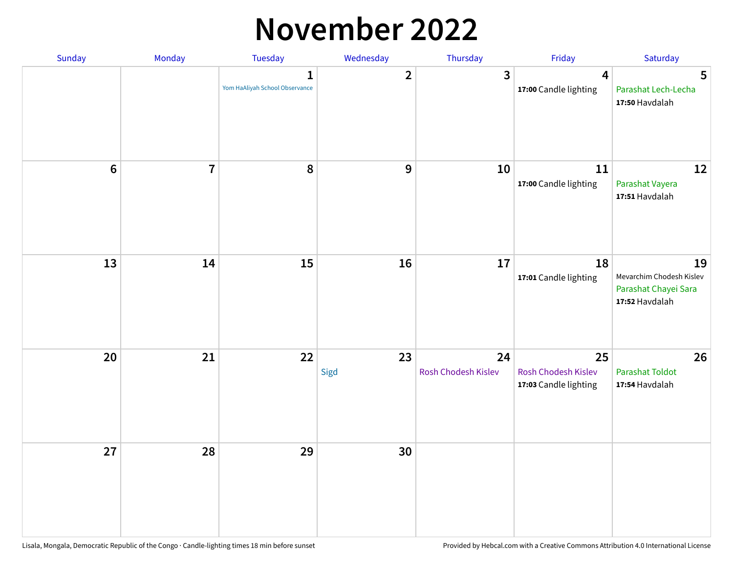### **November 2022**

| Sunday         | Monday         | <b>Tuesday</b>                                 | Wednesday      | Thursday                  | Friday                                                    | Saturday                                                                 |
|----------------|----------------|------------------------------------------------|----------------|---------------------------|-----------------------------------------------------------|--------------------------------------------------------------------------|
|                |                | $\mathbf{1}$<br>Yom HaAliyah School Observance | $\overline{2}$ | $\mathbf{3}$              | $\overline{\mathbf{4}}$<br>17:00 Candle lighting          | $5\phantom{.0}$<br>Parashat Lech-Lecha<br>17:50 Havdalah                 |
| $6\phantom{1}$ | $\overline{7}$ | 8                                              | $9$            | 10                        | 11<br>17:00 Candle lighting                               | 12<br>Parashat Vayera<br>17:51 Havdalah                                  |
| 13             | 14             | 15                                             | 16             | 17                        | 18<br>17:01 Candle lighting                               | 19<br>Mevarchim Chodesh Kislev<br>Parashat Chayei Sara<br>17:52 Havdalah |
| 20             | 21             | 22                                             | 23<br>Sigd     | 24<br>Rosh Chodesh Kislev | 25<br><b>Rosh Chodesh Kislev</b><br>17:03 Candle lighting | 26<br><b>Parashat Toldot</b><br>17:54 Havdalah                           |
| 27             | 28             | 29                                             | 30             |                           |                                                           |                                                                          |